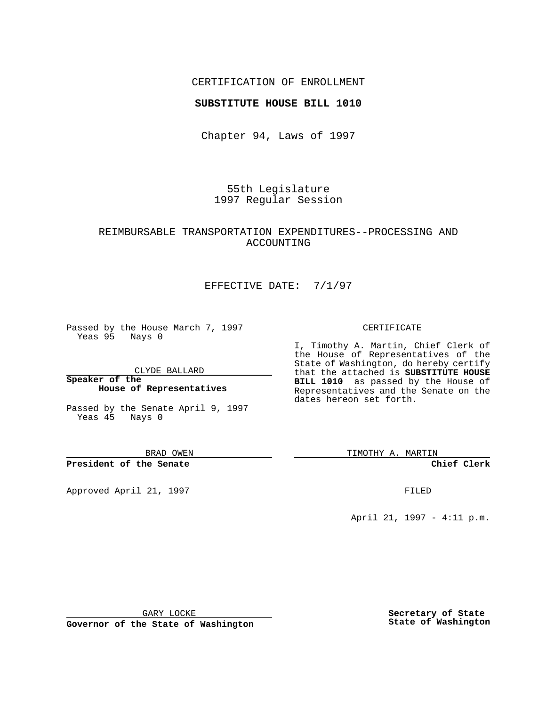### CERTIFICATION OF ENROLLMENT

#### **SUBSTITUTE HOUSE BILL 1010**

Chapter 94, Laws of 1997

55th Legislature 1997 Regular Session

## REIMBURSABLE TRANSPORTATION EXPENDITURES--PROCESSING AND ACCOUNTING

## EFFECTIVE DATE: 7/1/97

Passed by the House March 7, 1997 Yeas 95 Nays 0

CLYDE BALLARD

**Speaker of the House of Representatives**

Passed by the Senate April 9, 1997 Yeas 45 Nays 0

BRAD OWEN

**President of the Senate**

Approved April 21, 1997 **FILED** 

#### CERTIFICATE

I, Timothy A. Martin, Chief Clerk of the House of Representatives of the State of Washington, do hereby certify that the attached is **SUBSTITUTE HOUSE BILL 1010** as passed by the House of Representatives and the Senate on the dates hereon set forth.

TIMOTHY A. MARTIN

**Chief Clerk**

April 21, 1997 - 4:11 p.m.

GARY LOCKE

**Governor of the State of Washington**

**Secretary of State State of Washington**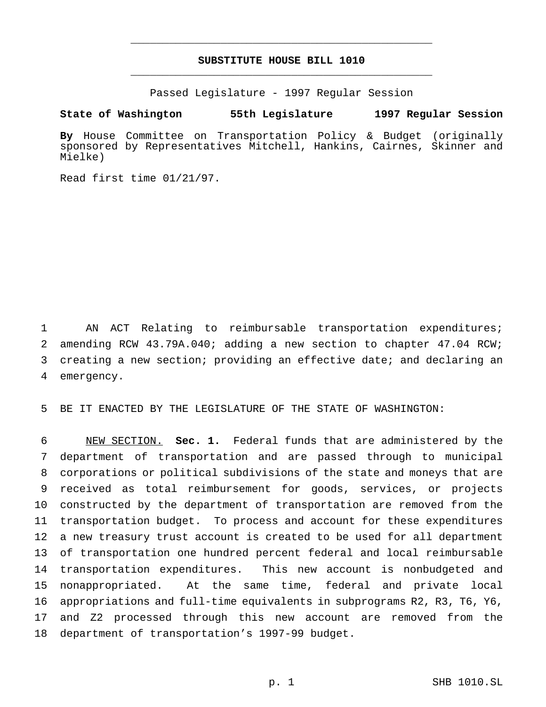# **SUBSTITUTE HOUSE BILL 1010** \_\_\_\_\_\_\_\_\_\_\_\_\_\_\_\_\_\_\_\_\_\_\_\_\_\_\_\_\_\_\_\_\_\_\_\_\_\_\_\_\_\_\_\_\_\_\_

\_\_\_\_\_\_\_\_\_\_\_\_\_\_\_\_\_\_\_\_\_\_\_\_\_\_\_\_\_\_\_\_\_\_\_\_\_\_\_\_\_\_\_\_\_\_\_

Passed Legislature - 1997 Regular Session

**State of Washington 55th Legislature 1997 Regular Session**

**By** House Committee on Transportation Policy & Budget (originally sponsored by Representatives Mitchell, Hankins, Cairnes, Skinner and Mielke)

Read first time 01/21/97.

 AN ACT Relating to reimbursable transportation expenditures; amending RCW 43.79A.040; adding a new section to chapter 47.04 RCW; creating a new section; providing an effective date; and declaring an emergency.

BE IT ENACTED BY THE LEGISLATURE OF THE STATE OF WASHINGTON:

 NEW SECTION. **Sec. 1.** Federal funds that are administered by the department of transportation and are passed through to municipal corporations or political subdivisions of the state and moneys that are received as total reimbursement for goods, services, or projects constructed by the department of transportation are removed from the transportation budget. To process and account for these expenditures a new treasury trust account is created to be used for all department of transportation one hundred percent federal and local reimbursable transportation expenditures. This new account is nonbudgeted and nonappropriated. At the same time, federal and private local appropriations and full-time equivalents in subprograms R2, R3, T6, Y6, and Z2 processed through this new account are removed from the department of transportation's 1997-99 budget.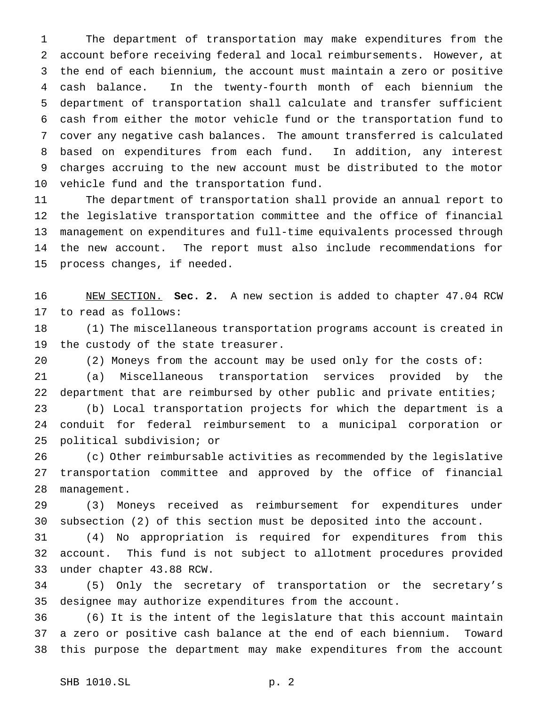The department of transportation may make expenditures from the account before receiving federal and local reimbursements. However, at the end of each biennium, the account must maintain a zero or positive cash balance. In the twenty-fourth month of each biennium the department of transportation shall calculate and transfer sufficient cash from either the motor vehicle fund or the transportation fund to cover any negative cash balances. The amount transferred is calculated based on expenditures from each fund. In addition, any interest charges accruing to the new account must be distributed to the motor vehicle fund and the transportation fund.

 The department of transportation shall provide an annual report to the legislative transportation committee and the office of financial management on expenditures and full-time equivalents processed through the new account. The report must also include recommendations for process changes, if needed.

 NEW SECTION. **Sec. 2.** A new section is added to chapter 47.04 RCW to read as follows:

 (1) The miscellaneous transportation programs account is created in the custody of the state treasurer.

 (2) Moneys from the account may be used only for the costs of: (a) Miscellaneous transportation services provided by the department that are reimbursed by other public and private entities; (b) Local transportation projects for which the department is a conduit for federal reimbursement to a municipal corporation or political subdivision; or

 (c) Other reimbursable activities as recommended by the legislative transportation committee and approved by the office of financial management.

 (3) Moneys received as reimbursement for expenditures under subsection (2) of this section must be deposited into the account.

 (4) No appropriation is required for expenditures from this account. This fund is not subject to allotment procedures provided under chapter 43.88 RCW.

 (5) Only the secretary of transportation or the secretary's designee may authorize expenditures from the account.

 (6) It is the intent of the legislature that this account maintain a zero or positive cash balance at the end of each biennium. Toward this purpose the department may make expenditures from the account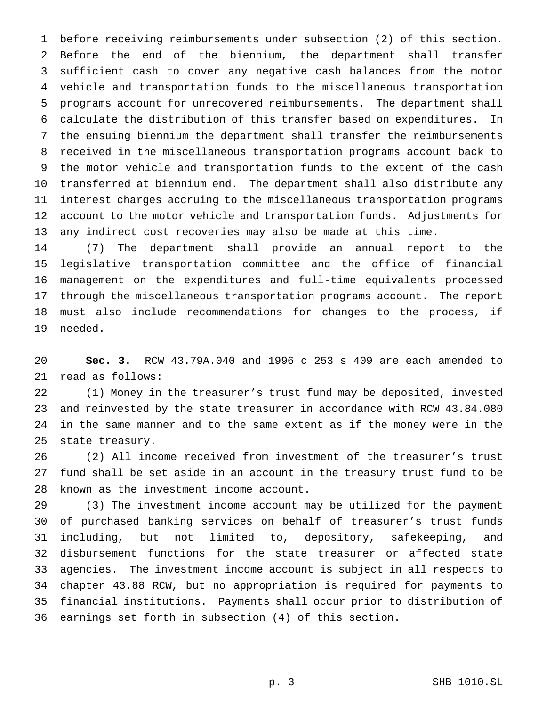before receiving reimbursements under subsection (2) of this section. Before the end of the biennium, the department shall transfer sufficient cash to cover any negative cash balances from the motor vehicle and transportation funds to the miscellaneous transportation programs account for unrecovered reimbursements. The department shall calculate the distribution of this transfer based on expenditures. In the ensuing biennium the department shall transfer the reimbursements received in the miscellaneous transportation programs account back to the motor vehicle and transportation funds to the extent of the cash transferred at biennium end. The department shall also distribute any interest charges accruing to the miscellaneous transportation programs account to the motor vehicle and transportation funds. Adjustments for any indirect cost recoveries may also be made at this time.

 (7) The department shall provide an annual report to the legislative transportation committee and the office of financial management on the expenditures and full-time equivalents processed through the miscellaneous transportation programs account. The report must also include recommendations for changes to the process, if needed.

 **Sec. 3.** RCW 43.79A.040 and 1996 c 253 s 409 are each amended to read as follows:

 (1) Money in the treasurer's trust fund may be deposited, invested and reinvested by the state treasurer in accordance with RCW 43.84.080 in the same manner and to the same extent as if the money were in the state treasury.

 (2) All income received from investment of the treasurer's trust fund shall be set aside in an account in the treasury trust fund to be known as the investment income account.

 (3) The investment income account may be utilized for the payment of purchased banking services on behalf of treasurer's trust funds including, but not limited to, depository, safekeeping, and disbursement functions for the state treasurer or affected state agencies. The investment income account is subject in all respects to chapter 43.88 RCW, but no appropriation is required for payments to financial institutions. Payments shall occur prior to distribution of earnings set forth in subsection (4) of this section.